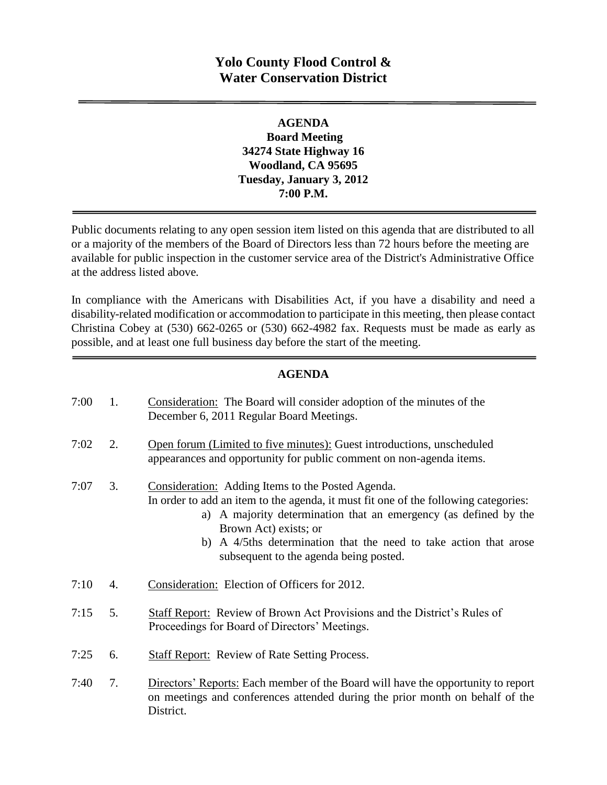## **Yolo County Flood Control & Water Conservation District**

### **AGENDA Board Meeting 34274 State Highway 16 Woodland, CA 95695 Tuesday, January 3, 2012 7:00 P.M.**

Public documents relating to any open session item listed on this agenda that are distributed to all or a majority of the members of the Board of Directors less than 72 hours before the meeting are available for public inspection in the customer service area of the District's Administrative Office at the address listed above*.* 

In compliance with the Americans with Disabilities Act, if you have a disability and need a disability-related modification or accommodation to participate in this meeting, then please contact Christina Cobey at (530) 662-0265 or (530) 662-4982 fax. Requests must be made as early as possible, and at least one full business day before the start of the meeting.

#### **AGENDA**

| 7:00 | 1. | Consideration: The Board will consider adoption of the minutes of the<br>December 6, 2011 Regular Board Meetings.                                                                                                                                                                                                                                    |
|------|----|------------------------------------------------------------------------------------------------------------------------------------------------------------------------------------------------------------------------------------------------------------------------------------------------------------------------------------------------------|
| 7:02 | 2. | Open forum (Limited to five minutes): Guest introductions, unscheduled<br>appearances and opportunity for public comment on non-agenda items.                                                                                                                                                                                                        |
| 7:07 | 3. | Consideration: Adding Items to the Posted Agenda.<br>In order to add an item to the agenda, it must fit one of the following categories:<br>a) A majority determination that an emergency (as defined by the<br>Brown Act) exists; or<br>b) A 4/5ths determination that the need to take action that arose<br>subsequent to the agenda being posted. |
| 7:10 | 4. | Consideration: Election of Officers for 2012.                                                                                                                                                                                                                                                                                                        |
| 7:15 | 5. | Staff Report: Review of Brown Act Provisions and the District's Rules of<br>Proceedings for Board of Directors' Meetings.                                                                                                                                                                                                                            |
| 7:25 | 6. | <b>Staff Report:</b> Review of Rate Setting Process.                                                                                                                                                                                                                                                                                                 |
| 7:40 | 7. | Directors' Reports: Each member of the Board will have the opportunity to report<br>on meetings and conferences attended during the prior month on behalf of the<br>District.                                                                                                                                                                        |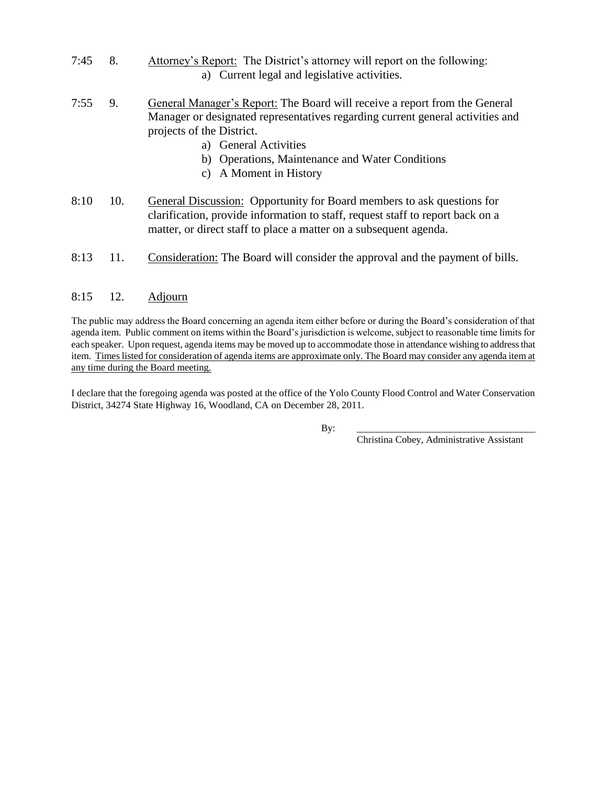- 7:45 8. Attorney's Report: The District's attorney will report on the following: a) Current legal and legislative activities.
- 7:55 9. General Manager's Report: The Board will receive a report from the General Manager or designated representatives regarding current general activities and projects of the District.
	- a) General Activities
	- b) Operations, Maintenance and Water Conditions
	- c) A Moment in History
- 8:10 10. General Discussion: Opportunity for Board members to ask questions for clarification, provide information to staff, request staff to report back on a matter, or direct staff to place a matter on a subsequent agenda.
- 8:13 11. Consideration: The Board will consider the approval and the payment of bills.

#### 8:15 12. Adjourn

The public may address the Board concerning an agenda item either before or during the Board's consideration of that agenda item. Public comment on items within the Board's jurisdiction is welcome, subject to reasonable time limits for each speaker. Upon request, agenda items may be moved up to accommodate those in attendance wishing to address that item. Times listed for consideration of agenda items are approximate only. The Board may consider any agenda item at any time during the Board meeting.

I declare that the foregoing agenda was posted at the office of the Yolo County Flood Control and Water Conservation District, 34274 State Highway 16, Woodland, CA on December 28, 2011.

By: \_\_\_\_\_\_\_\_\_\_\_\_\_\_\_\_\_\_\_\_\_\_\_\_\_\_\_\_\_\_\_\_\_\_\_\_\_

Christina Cobey, Administrative Assistant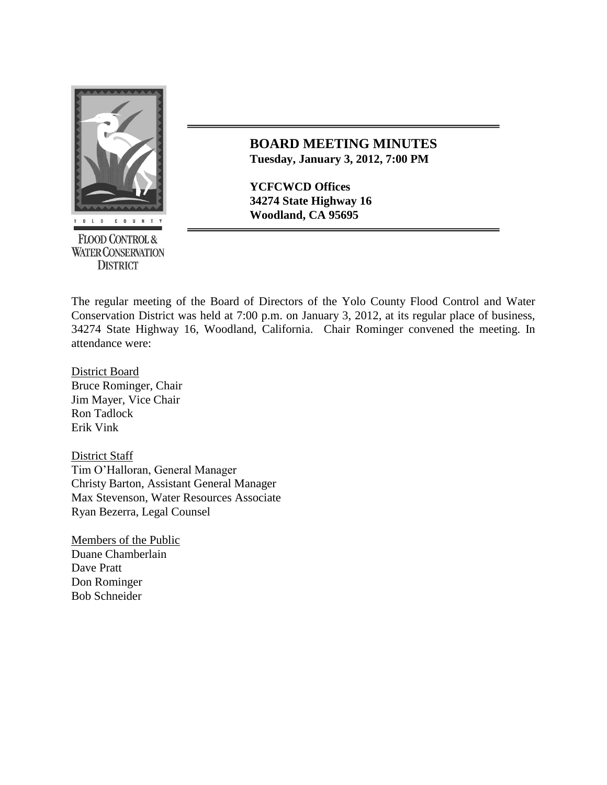

**FLOOD CONTROL & WATER CONSERVATION DISTRICT** 

## **BOARD MEETING MINUTES Tuesday, January 3, 2012, 7:00 PM**

**YCFCWCD Offices 34274 State Highway 16 Woodland, CA 95695** 

The regular meeting of the Board of Directors of the Yolo County Flood Control and Water Conservation District was held at 7:00 p.m. on January 3, 2012, at its regular place of business, 34274 State Highway 16, Woodland, California. Chair Rominger convened the meeting. In attendance were:

District Board Bruce Rominger, Chair Jim Mayer, Vice Chair Ron Tadlock Erik Vink

District Staff Tim O'Halloran, General Manager Christy Barton, Assistant General Manager Max Stevenson, Water Resources Associate Ryan Bezerra, Legal Counsel

Members of the Public Duane Chamberlain Dave Pratt Don Rominger Bob Schneider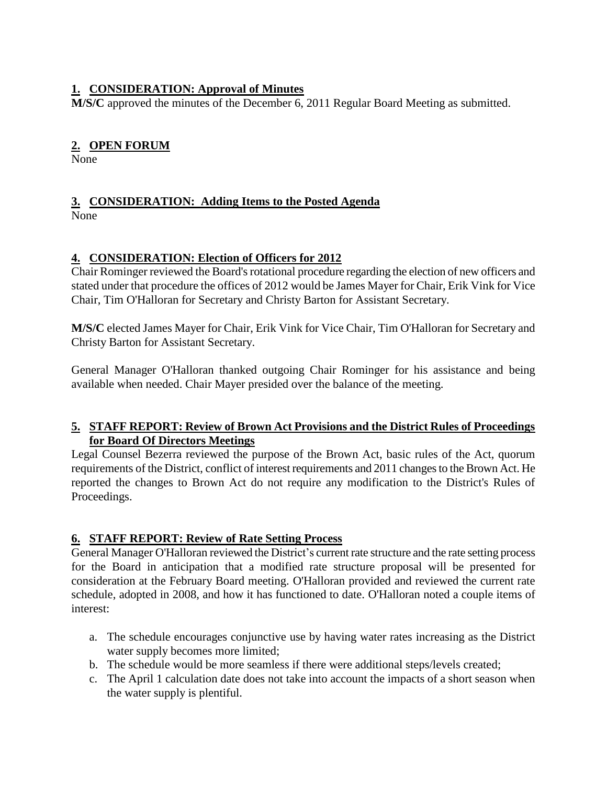## **1. CONSIDERATION: Approval of Minutes**

**M/S/C** approved the minutes of the December 6, 2011 Regular Board Meeting as submitted.

## **2. OPEN FORUM**

None

# **3. CONSIDERATION: Adding Items to the Posted Agenda**

None

## **4. CONSIDERATION: Election of Officers for 2012**

Chair Rominger reviewed the Board's rotational procedure regarding the election of new officers and stated under that procedure the offices of 2012 would be James Mayer for Chair, Erik Vink for Vice Chair, Tim O'Halloran for Secretary and Christy Barton for Assistant Secretary.

**M/S/C** elected James Mayer for Chair, Erik Vink for Vice Chair, Tim O'Halloran for Secretary and Christy Barton for Assistant Secretary.

General Manager O'Halloran thanked outgoing Chair Rominger for his assistance and being available when needed. Chair Mayer presided over the balance of the meeting.

#### **5. STAFF REPORT: Review of Brown Act Provisions and the District Rules of Proceedings for Board Of Directors Meetings**

Legal Counsel Bezerra reviewed the purpose of the Brown Act, basic rules of the Act, quorum requirements of the District, conflict of interest requirements and 2011 changes to the Brown Act. He reported the changes to Brown Act do not require any modification to the District's Rules of Proceedings.

#### **6. STAFF REPORT: Review of Rate Setting Process**

General Manager O'Halloran reviewed the District's current rate structure and the rate setting process for the Board in anticipation that a modified rate structure proposal will be presented for consideration at the February Board meeting. O'Halloran provided and reviewed the current rate schedule, adopted in 2008, and how it has functioned to date. O'Halloran noted a couple items of interest:

- a. The schedule encourages conjunctive use by having water rates increasing as the District water supply becomes more limited;
- b. The schedule would be more seamless if there were additional steps/levels created;
- c. The April 1 calculation date does not take into account the impacts of a short season when the water supply is plentiful.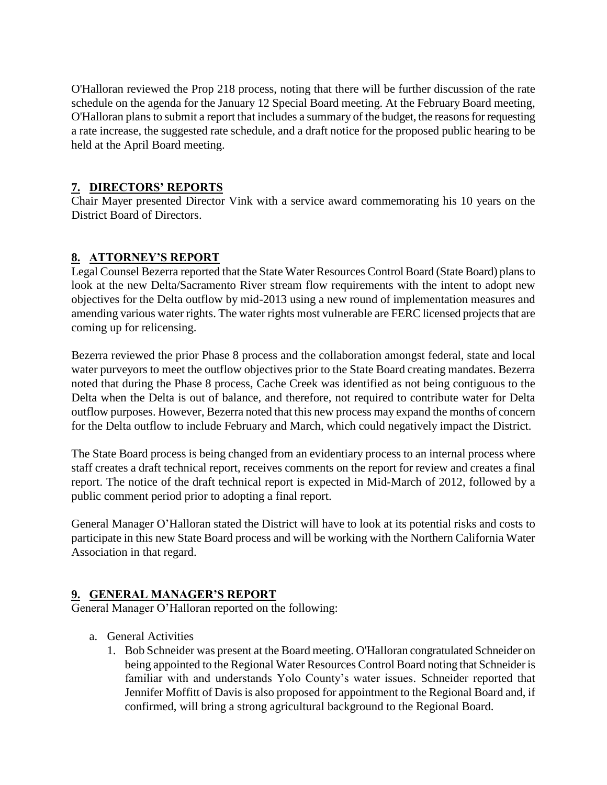O'Halloran reviewed the Prop 218 process, noting that there will be further discussion of the rate schedule on the agenda for the January 12 Special Board meeting. At the February Board meeting, O'Halloran plans to submit a report that includes a summary of the budget, the reasons for requesting a rate increase, the suggested rate schedule, and a draft notice for the proposed public hearing to be held at the April Board meeting.

## **7. DIRECTORS' REPORTS**

Chair Mayer presented Director Vink with a service award commemorating his 10 years on the District Board of Directors.

## **8. ATTORNEY'S REPORT**

Legal Counsel Bezerra reported that the State Water Resources Control Board (State Board) plans to look at the new Delta/Sacramento River stream flow requirements with the intent to adopt new objectives for the Delta outflow by mid-2013 using a new round of implementation measures and amending various water rights. The water rights most vulnerable are FERC licensed projects that are coming up for relicensing.

Bezerra reviewed the prior Phase 8 process and the collaboration amongst federal, state and local water purveyors to meet the outflow objectives prior to the State Board creating mandates. Bezerra noted that during the Phase 8 process, Cache Creek was identified as not being contiguous to the Delta when the Delta is out of balance, and therefore, not required to contribute water for Delta outflow purposes. However, Bezerra noted that this new process may expand the months of concern for the Delta outflow to include February and March, which could negatively impact the District.

The State Board process is being changed from an evidentiary process to an internal process where staff creates a draft technical report, receives comments on the report for review and creates a final report. The notice of the draft technical report is expected in Mid-March of 2012, followed by a public comment period prior to adopting a final report.

General Manager O'Halloran stated the District will have to look at its potential risks and costs to participate in this new State Board process and will be working with the Northern California Water Association in that regard.

## **9. GENERAL MANAGER'S REPORT**

General Manager O'Halloran reported on the following:

- a. General Activities
	- 1. Bob Schneider was present at the Board meeting. O'Halloran congratulated Schneider on being appointed to the Regional Water Resources Control Board noting that Schneider is familiar with and understands Yolo County's water issues. Schneider reported that Jennifer Moffitt of Davis is also proposed for appointment to the Regional Board and, if confirmed, will bring a strong agricultural background to the Regional Board.